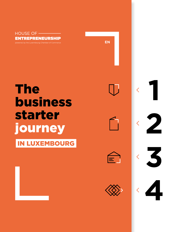

# **The business** starter journey

**IN LUXEMBOURG** 

| and the state of the state of the state of the state of the state of the state of the state of the state of th                                    |
|---------------------------------------------------------------------------------------------------------------------------------------------------|
| <br><b>Service Service</b>                                                                                                                        |
| -<br>---                                                                                                                                          |
| $\mathcal{L}(\mathcal{L})$ and $\mathcal{L}(\mathcal{L})$ and $\mathcal{L}(\mathcal{L})$ and $\mathcal{L}(\mathcal{L})$<br><b>Service Service</b> |
|                                                                                                                                                   |

 $\overline{\left\langle \right\rangle }$ 

 $\overline{\left\langle \right\rangle }$ 

 $\overline{\left\langle \right\rangle }$ 

 $\overline{\left\langle \right\rangle }$ 

2

 $\overline{\mathbf{S}}$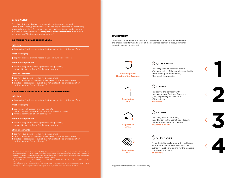## **CHECKLIST**

This check-list is applicable to commercial professions in general. Other qualifications, guarantees or insurance may be required for specifically regulated professions. To double check which elements are needed for your business, please contact us via **info@houseofentrepreneurship.lu** or attend our workshop "The business starter journey".

#### A. RESIDENT FOR MORE THAN 10 YEARS

#### **Main form**

■ Completed "business permit application and related notification" form

#### **Proof of integrity**

copy of a recent criminal record in Luxembourg (record no. 3)

#### **Proof of fixed premises**

 $\blacksquare$  either a copy of the lease agreement, or equivalent, or a residence certificate (as the case may be)

#### **Other attachments**

- $\Box$  copy of your identity card or residence permit<sup>1</sup>
- proof of payment of the administrative fee of 24€ per application<sup>2</sup>
- **T** articles of association if available, if not, draft articles of incorporation or draft statutes (companies only)<sup>3</sup>

#### B. RESIDENT FOR LESS THAN 10 YEARS OR NON-RESIDENT

#### **Main form**

■ Completed "business permit application and related notification" form

#### **Proof of integrity**

- $\Box$  copy/copies of a recent criminal record(s)
- notarial declaration of non-bankruptcy

#### **Proof of fixed premises**

either a copy of the lease agreement, or equivalent, or a residence certificate (as the case may be)

#### **Other attachments**

- $\blacksquare$  copy of your identity card or residence permit<sup>1</sup>
- proof of payment of the administrative fee of 24€ per application<sup>2</sup>
- **T** articles of association if available, if not, draft articles of incorporation or draft statutes (companies only)<sup>3</sup>

## <sup>1</sup> Any third-country citizens (from outside the EU) who would like to settle in Luxembourg for more than three months to operate a self-employed activity need to follow a specific procedure, unless they are a family member of an EU citizen or

- 2 Transfer 24€ to the account LU76 0019 5955 4404 7000, BIC code: BCEELULL of the Diekirch Revenue Office, with the following communication: "business permit"
- $^3\,$  Most companies (public limited companies (SA), private limited companies (Sàrl), etc.) must then be constituted before<br>a notary. The notary is responsible for registering the company at the Luxembourg Business Regi

## **OVERVIEW**

The overall timeframe for obtaining a business permit may vary depending on the chosen legal form and nature of the concerned activity. Indeed, additional procedures may be involved.



**Business permit Ministry of the Economy**

## **+/- 1 to 4 weeks \***

Obtaining the final business permit after submission of the complete application to the Ministry of the Economy (See check-list opposite)



**LBR**

## $\bigcap$  24 hours  $^*$

Registering the company with the Luxembourg Business Registers (LBR) depending on the nature of the activity **www.lbr.lu**



**Registration CCSS**

**Registration AED**

## $\bigcap_{r=1}^{\infty}$  +/-1 week \*

Obtaining a letter confirming the affiliation to the Joint Social Security Centre further to the registration **www.ccss.public.lu**

**+/- 2 to 4 weeks \***

Filing the initial declaration with the Duties, Estates and VAT Authority (Indirect tax authority - AED) and opting for the standard or exemption scheme **[pfi.public.lu](http://pfi.public.lu)**

\* Approximate time period given for reference only



**2**

**1**

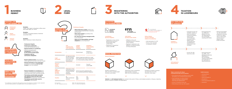

FOCUS ON PROFESSIONAL **INTEGRITY** 



## ABOUT FIXED PREMISES AND EFFECTIVE **MANAGEMENT**

- **Physical premises in Luxembourg**
- Effective and permanent **management** of the business **by the business permit holder**
- **Compliance with tax and business obligations**
- **Recent criminal records** of all countries where applicant has lived in the last 10 years
- **Notarial declaration of non-bankruptcy** if residing in Luxembourg **for less than 10 years** or for non-residents
- **Physical installation in Luxembourg** that includes an infrastructure suitable for the nature and scale of the concerned activity
- **The business permit holder personally and regularly ensure the day-to-day management** and direction of the business
- **The business permit holder must be connected** to the business

## THE BUSINESS PERMIT



**ACTIVATING** 

## SOCIAL PROTECTION

## MODIFIED LAW OF 2 SEPTEMBER, 2011 \*

**Examples:** Trader, Travel agent, restaurateur-coffee owner, Real estate agent, Int. carrier



**& industrial activities**



தி

**Examples:** Architect, Consulting-engineer, Chartered accountant (CPA)

**Liberal professions**

> **Examples:** Baker, Hairdresser, Caterer, Beautician

**Artisanal activities**









## **WITH THE AUTHORITIES**



**TAXATION IN LUXEMBOURG**





**Preliminary thougths**

— **Which legal form is better** suited to my

partnership)?

— **What about taxation** according to the

chosen legal form?

— **Do I have the necessary managerial skills**

to run a business?

— **What are my responsibilities and legal obligations** as an entrepreneur?

|                                            | <b>Sole</b><br>proprietorship<br>(self-employed)                                                       | <b>Limited</b><br><b>liability</b><br>company                                                                               | <b>Simplified</b><br>limited liability<br>company |
|--------------------------------------------|--------------------------------------------------------------------------------------------------------|-----------------------------------------------------------------------------------------------------------------------------|---------------------------------------------------|
| <b>Incorporation</b>                       |                                                                                                        | Notarial deed                                                                                                               | Notarial or<br>private deed                       |
| Legal<br>personality                       | No legal personality<br>Only the entrepre-<br>neur has the legal<br>personality as a<br>natural person | Distinct legal personality has a legal<br>form distinct from that of the partners<br>in it Personnalité juridique distincte |                                                   |
| <b>Minimum</b><br>capital<br>required      |                                                                                                        | € 12,000                                                                                                                    | $From \in I$<br>and € 11,999                      |
| Legal<br>obligation<br>towards<br>the RCSL | Publication of the<br>annual declaration<br>if annual turnover<br>exceeds<br>€100.000                  | Annual accounts registered with<br>the Luxembourg Business Registers                                                        |                                                   |
| <b>Taxation</b>                            | IR<br>MBT (commercial<br>activity)                                                                     | CIT.<br><b>MRT</b><br><b>NWT</b>                                                                                            | <b>CIT</b><br><b>MRT</b><br>NWT                   |

## **Luxembourg Business Registers**





- Registration of any activity governed by the law of 19 December 2002 (online filing)
- Registration of beneficial owners with RBE

**Joint Social Security Center (CCSS)**

- Affiliation of the selfemployed person or director of the company
- Employer's registration and affiliation of salaried workers (if hiring employees)



#### **Duties, Estates and VAT Authority (Indirect tax authority)**

— Initial declaration for VAT

— Choice of the standard or exemption scheme

Monthly contribution of 25% out of the Luxembourgish minimum social salary

## $\checkmark$



Adjustment of the contribution base possible if revenues differ from the standard basis



Exemption possible if revenues are lower than 1/3 of the minimum social salary

## $\vee$

**Salaried** and **self-employed workers** are covered in the event of: illness, work-related accidents or illnesses, maternity, pension insurance, disability and dependency.

**General framework**



IR : Income tax CIT / IRC : Corporate income tax

MBT / ICC : Municipal business tax NWT / IF : Minimum net wealth tax



### **Topics covered by the House of Entrepreneurship and its partners:**

- Personalised advice according to your needs throughout your entrepreneurial journey
- starting a business, development, financing and digitalisation
- Access to funding & state aids
- Networking & meet ups with experts

### **Useful resources**

- www.guichet.lu
- www.cc.lu
- www.ccss.public.lu
- pfi.public.lu
- www.impotsdirects.public.lu
- www.lbr.lu

\* The modified law of 2 September 2011 regulating access to the professions of craftsman, trader, industrialist and certain liberal professions, consolidated version of the law available at www.cc.lu